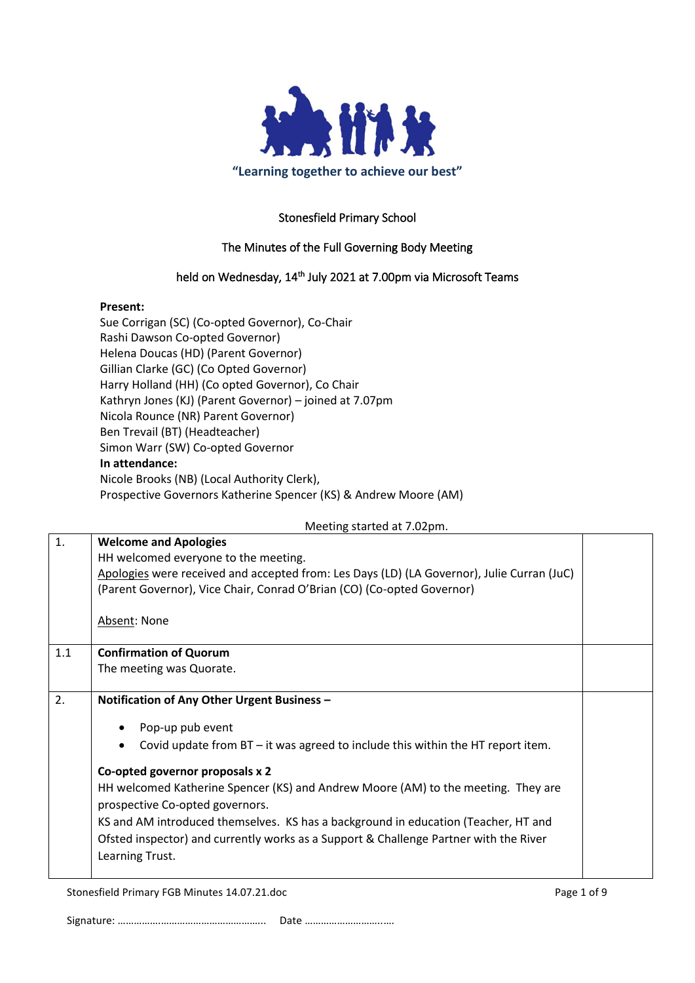

## Stonesfield Primary School

### The Minutes of the Full Governing Body Meeting

#### held on Wednesday, 14<sup>th</sup> July 2021 at 7.00pm via Microsoft Teams

#### **Present:**

Sue Corrigan (SC) (Co-opted Governor), Co-Chair Rashi Dawson Co-opted Governor) Helena Doucas (HD) (Parent Governor) Gillian Clarke (GC) (Co Opted Governor) Harry Holland (HH) (Co opted Governor), Co Chair Kathryn Jones (KJ) (Parent Governor) – joined at 7.07pm Nicola Rounce (NR) Parent Governor) Ben Trevail (BT) (Headteacher) Simon Warr (SW) Co-opted Governor **In attendance:** Nicole Brooks (NB) (Local Authority Clerk), Prospective Governors Katherine Spencer (KS) & Andrew Moore (AM)

Meeting started at 7.02pm.

| 1.  | <b>Welcome and Apologies</b>                                                               |  |
|-----|--------------------------------------------------------------------------------------------|--|
|     | HH welcomed everyone to the meeting.                                                       |  |
|     | Apologies were received and accepted from: Les Days (LD) (LA Governor), Julie Curran (JuC) |  |
|     | (Parent Governor), Vice Chair, Conrad O'Brian (CO) (Co-opted Governor)                     |  |
|     |                                                                                            |  |
|     | Absent: None                                                                               |  |
|     |                                                                                            |  |
| 1.1 | <b>Confirmation of Quorum</b>                                                              |  |
|     | The meeting was Quorate.                                                                   |  |
|     |                                                                                            |  |
| 2.  | Notification of Any Other Urgent Business -                                                |  |
|     |                                                                                            |  |
|     | Pop-up pub event                                                                           |  |
|     | Covid update from BT - it was agreed to include this within the HT report item.            |  |
|     | Co-opted governor proposals x 2                                                            |  |
|     | HH welcomed Katherine Spencer (KS) and Andrew Moore (AM) to the meeting. They are          |  |
|     |                                                                                            |  |
|     | prospective Co-opted governors.                                                            |  |
|     | KS and AM introduced themselves. KS has a background in education (Teacher, HT and         |  |
|     | Ofsted inspector) and currently works as a Support & Challenge Partner with the River      |  |
|     | Learning Trust.                                                                            |  |
|     |                                                                                            |  |
|     |                                                                                            |  |

Stonesfield Primary FGB Minutes 14.07.21.doc **Page 1 of 9** Page 1 of 9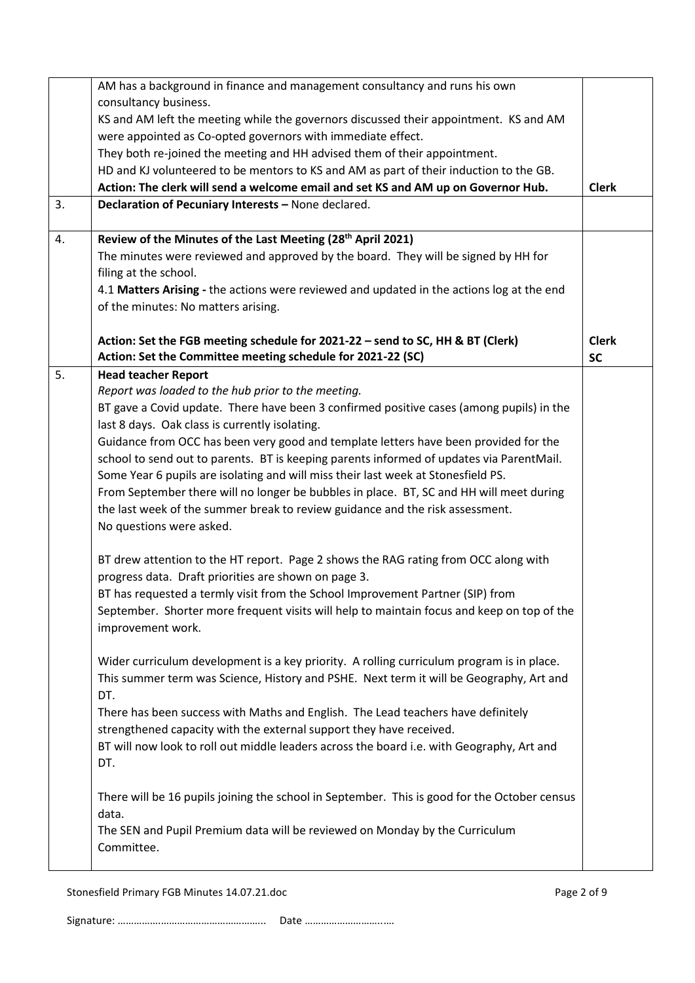|    | AM has a background in finance and management consultancy and runs his own                   |              |
|----|----------------------------------------------------------------------------------------------|--------------|
|    | consultancy business.                                                                        |              |
|    | KS and AM left the meeting while the governors discussed their appointment. KS and AM        |              |
|    | were appointed as Co-opted governors with immediate effect.                                  |              |
|    | They both re-joined the meeting and HH advised them of their appointment.                    |              |
|    | HD and KJ volunteered to be mentors to KS and AM as part of their induction to the GB.       |              |
|    | Action: The clerk will send a welcome email and set KS and AM up on Governor Hub.            | <b>Clerk</b> |
| 3. | Declaration of Pecuniary Interests - None declared.                                          |              |
|    |                                                                                              |              |
| 4. | Review of the Minutes of the Last Meeting (28 <sup>th</sup> April 2021)                      |              |
|    | The minutes were reviewed and approved by the board. They will be signed by HH for           |              |
|    | filing at the school.                                                                        |              |
|    | 4.1 Matters Arising - the actions were reviewed and updated in the actions log at the end    |              |
|    | of the minutes: No matters arising.                                                          |              |
|    |                                                                                              |              |
|    | Action: Set the FGB meeting schedule for 2021-22 - send to SC, HH & BT (Clerk)               | <b>Clerk</b> |
|    | Action: Set the Committee meeting schedule for 2021-22 (SC)                                  | <b>SC</b>    |
| 5. | <b>Head teacher Report</b>                                                                   |              |
|    | Report was loaded to the hub prior to the meeting.                                           |              |
|    | BT gave a Covid update. There have been 3 confirmed positive cases (among pupils) in the     |              |
|    | last 8 days. Oak class is currently isolating.                                               |              |
|    | Guidance from OCC has been very good and template letters have been provided for the         |              |
|    | school to send out to parents. BT is keeping parents informed of updates via ParentMail.     |              |
|    | Some Year 6 pupils are isolating and will miss their last week at Stonesfield PS.            |              |
|    | From September there will no longer be bubbles in place. BT, SC and HH will meet during      |              |
|    | the last week of the summer break to review guidance and the risk assessment.                |              |
|    | No questions were asked.                                                                     |              |
|    |                                                                                              |              |
|    | BT drew attention to the HT report. Page 2 shows the RAG rating from OCC along with          |              |
|    | progress data. Draft priorities are shown on page 3.                                         |              |
|    | BT has requested a termly visit from the School Improvement Partner (SIP) from               |              |
|    | September. Shorter more frequent visits will help to maintain focus and keep on top of the   |              |
|    | improvement work.                                                                            |              |
|    |                                                                                              |              |
|    | Wider curriculum development is a key priority. A rolling curriculum program is in place.    |              |
|    | This summer term was Science, History and PSHE. Next term it will be Geography, Art and      |              |
|    | DT.                                                                                          |              |
|    | There has been success with Maths and English. The Lead teachers have definitely             |              |
|    | strengthened capacity with the external support they have received.                          |              |
|    | BT will now look to roll out middle leaders across the board i.e. with Geography, Art and    |              |
|    | DT.                                                                                          |              |
|    |                                                                                              |              |
|    | There will be 16 pupils joining the school in September. This is good for the October census |              |
|    | data.                                                                                        |              |
|    | The SEN and Pupil Premium data will be reviewed on Monday by the Curriculum                  |              |
|    | Committee.                                                                                   |              |
|    |                                                                                              |              |

Stonesfield Primary FGB Minutes 14.07.21.doc example 2 of 9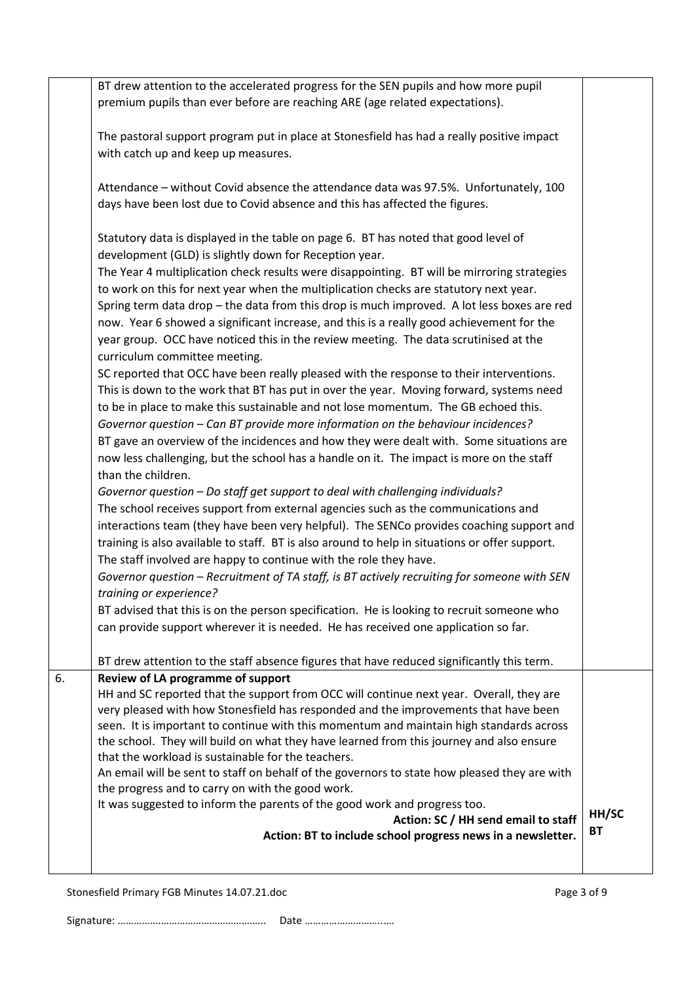|    | BT drew attention to the accelerated progress for the SEN pupils and how more pupil<br>premium pupils than ever before are reaching ARE (age related expectations).                                                                                                                                                                                                                                                                                                                                                                                                                                                                                                                                                                                                                                                                                                                                                                                                                                                                                                                                                                                                                                                                                                                                                                                                                                                                                                                                                                                                                                                                                                                                                                                                                                                                                                                                                                                                                          |                    |
|----|----------------------------------------------------------------------------------------------------------------------------------------------------------------------------------------------------------------------------------------------------------------------------------------------------------------------------------------------------------------------------------------------------------------------------------------------------------------------------------------------------------------------------------------------------------------------------------------------------------------------------------------------------------------------------------------------------------------------------------------------------------------------------------------------------------------------------------------------------------------------------------------------------------------------------------------------------------------------------------------------------------------------------------------------------------------------------------------------------------------------------------------------------------------------------------------------------------------------------------------------------------------------------------------------------------------------------------------------------------------------------------------------------------------------------------------------------------------------------------------------------------------------------------------------------------------------------------------------------------------------------------------------------------------------------------------------------------------------------------------------------------------------------------------------------------------------------------------------------------------------------------------------------------------------------------------------------------------------------------------------|--------------------|
|    | The pastoral support program put in place at Stonesfield has had a really positive impact<br>with catch up and keep up measures.                                                                                                                                                                                                                                                                                                                                                                                                                                                                                                                                                                                                                                                                                                                                                                                                                                                                                                                                                                                                                                                                                                                                                                                                                                                                                                                                                                                                                                                                                                                                                                                                                                                                                                                                                                                                                                                             |                    |
|    | Attendance - without Covid absence the attendance data was 97.5%. Unfortunately, 100<br>days have been lost due to Covid absence and this has affected the figures.                                                                                                                                                                                                                                                                                                                                                                                                                                                                                                                                                                                                                                                                                                                                                                                                                                                                                                                                                                                                                                                                                                                                                                                                                                                                                                                                                                                                                                                                                                                                                                                                                                                                                                                                                                                                                          |                    |
|    | Statutory data is displayed in the table on page 6. BT has noted that good level of<br>development (GLD) is slightly down for Reception year.<br>The Year 4 multiplication check results were disappointing. BT will be mirroring strategies<br>to work on this for next year when the multiplication checks are statutory next year.<br>Spring term data drop - the data from this drop is much improved. A lot less boxes are red<br>now. Year 6 showed a significant increase, and this is a really good achievement for the<br>year group. OCC have noticed this in the review meeting. The data scrutinised at the<br>curriculum committee meeting.<br>SC reported that OCC have been really pleased with the response to their interventions.<br>This is down to the work that BT has put in over the year. Moving forward, systems need<br>to be in place to make this sustainable and not lose momentum. The GB echoed this.<br>Governor question - Can BT provide more information on the behaviour incidences?<br>BT gave an overview of the incidences and how they were dealt with. Some situations are<br>now less challenging, but the school has a handle on it. The impact is more on the staff<br>than the children.<br>Governor question - Do staff get support to deal with challenging individuals?<br>The school receives support from external agencies such as the communications and<br>interactions team (they have been very helpful). The SENCo provides coaching support and<br>training is also available to staff. BT is also around to help in situations or offer support.<br>The staff involved are happy to continue with the role they have.<br>Governor question - Recruitment of TA staff, is BT actively recruiting for someone with SEN<br>training or experience?<br>BT advised that this is on the person specification. He is looking to recruit someone who<br>can provide support wherever it is needed. He has received one application so far. |                    |
| 6. | BT drew attention to the staff absence figures that have reduced significantly this term.<br>Review of LA programme of support<br>HH and SC reported that the support from OCC will continue next year. Overall, they are<br>very pleased with how Stonesfield has responded and the improvements that have been<br>seen. It is important to continue with this momentum and maintain high standards across<br>the school. They will build on what they have learned from this journey and also ensure<br>that the workload is sustainable for the teachers.<br>An email will be sent to staff on behalf of the governors to state how pleased they are with<br>the progress and to carry on with the good work.<br>It was suggested to inform the parents of the good work and progress too.<br>Action: SC / HH send email to staff<br>Action: BT to include school progress news in a newsletter.                                                                                                                                                                                                                                                                                                                                                                                                                                                                                                                                                                                                                                                                                                                                                                                                                                                                                                                                                                                                                                                                                          | HH/SC<br><b>BT</b> |
|    |                                                                                                                                                                                                                                                                                                                                                                                                                                                                                                                                                                                                                                                                                                                                                                                                                                                                                                                                                                                                                                                                                                                                                                                                                                                                                                                                                                                                                                                                                                                                                                                                                                                                                                                                                                                                                                                                                                                                                                                              |                    |

Stonesfield Primary FGB Minutes 14.07.21.doc Page 3 of 9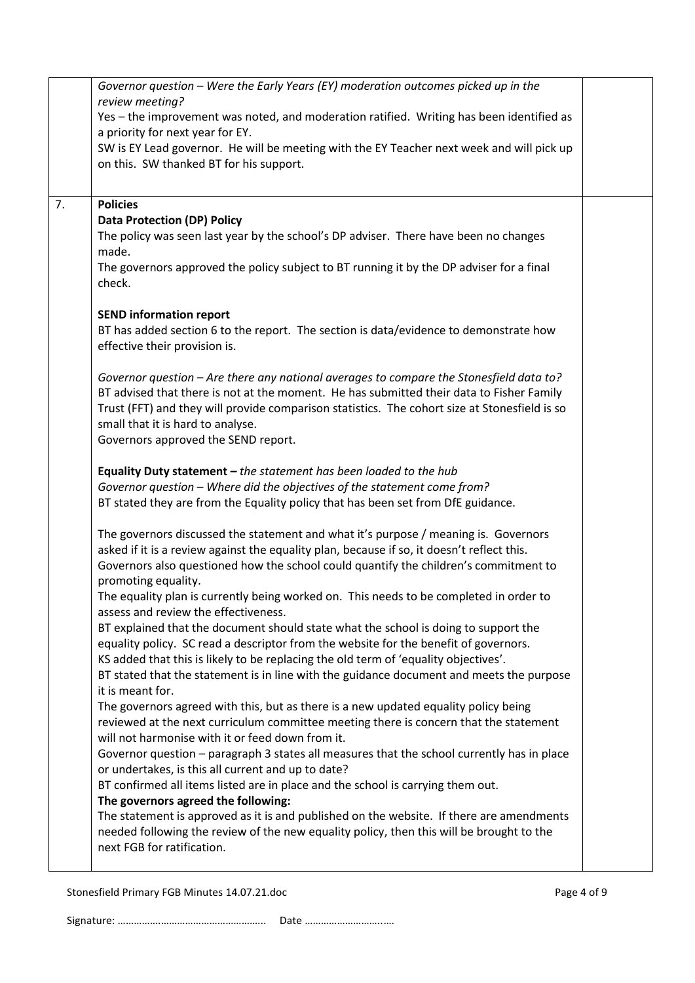|    | Governor question - Were the Early Years (EY) moderation outcomes picked up in the                                                        |  |
|----|-------------------------------------------------------------------------------------------------------------------------------------------|--|
|    | review meeting?                                                                                                                           |  |
|    | Yes - the improvement was noted, and moderation ratified. Writing has been identified as                                                  |  |
|    | a priority for next year for EY.                                                                                                          |  |
|    | SW is EY Lead governor. He will be meeting with the EY Teacher next week and will pick up                                                 |  |
|    | on this. SW thanked BT for his support.                                                                                                   |  |
|    |                                                                                                                                           |  |
| 7. | <b>Policies</b>                                                                                                                           |  |
|    | <b>Data Protection (DP) Policy</b>                                                                                                        |  |
|    | The policy was seen last year by the school's DP adviser. There have been no changes<br>made.                                             |  |
|    | The governors approved the policy subject to BT running it by the DP adviser for a final                                                  |  |
|    | check.                                                                                                                                    |  |
|    |                                                                                                                                           |  |
|    | <b>SEND information report</b>                                                                                                            |  |
|    | BT has added section 6 to the report. The section is data/evidence to demonstrate how                                                     |  |
|    | effective their provision is.                                                                                                             |  |
|    | Governor question - Are there any national averages to compare the Stonesfield data to?                                                   |  |
|    | BT advised that there is not at the moment. He has submitted their data to Fisher Family                                                  |  |
|    | Trust (FFT) and they will provide comparison statistics. The cohort size at Stonesfield is so                                             |  |
|    | small that it is hard to analyse.                                                                                                         |  |
|    | Governors approved the SEND report.                                                                                                       |  |
|    |                                                                                                                                           |  |
|    | Equality Duty statement $-$ the statement has been loaded to the hub                                                                      |  |
|    | Governor question - Where did the objectives of the statement come from?                                                                  |  |
|    | BT stated they are from the Equality policy that has been set from DfE guidance.                                                          |  |
|    | The governors discussed the statement and what it's purpose / meaning is. Governors                                                       |  |
|    | asked if it is a review against the equality plan, because if so, it doesn't reflect this.                                                |  |
|    | Governors also questioned how the school could quantify the children's commitment to                                                      |  |
|    | promoting equality.                                                                                                                       |  |
|    | The equality plan is currently being worked on. This needs to be completed in order to                                                    |  |
|    | assess and review the effectiveness.                                                                                                      |  |
|    | BT explained that the document should state what the school is doing to support the                                                       |  |
|    | equality policy. SC read a descriptor from the website for the benefit of governors.                                                      |  |
|    | KS added that this is likely to be replacing the old term of 'equality objectives'.                                                       |  |
|    | BT stated that the statement is in line with the guidance document and meets the purpose                                                  |  |
|    | it is meant for.                                                                                                                          |  |
|    | The governors agreed with this, but as there is a new updated equality policy being                                                       |  |
|    | reviewed at the next curriculum committee meeting there is concern that the statement<br>will not harmonise with it or feed down from it. |  |
|    | Governor question - paragraph 3 states all measures that the school currently has in place                                                |  |
|    | or undertakes, is this all current and up to date?                                                                                        |  |
|    | BT confirmed all items listed are in place and the school is carrying them out.                                                           |  |
|    | The governors agreed the following:                                                                                                       |  |
|    | The statement is approved as it is and published on the website. If there are amendments                                                  |  |
|    | needed following the review of the new equality policy, then this will be brought to the                                                  |  |
|    | next FGB for ratification.                                                                                                                |  |
|    |                                                                                                                                           |  |

Stonesfield Primary FGB Minutes 14.07.21.doc example 2 and 2 and 2 and 2 and 2 and 2 and 2 and 2 and 2 and 2 and 2 and 2 and 2 and 2 and 2 and 2 and 2 and 2 and 2 and 2 and 2 and 2 and 2 and 2 and 2 and 2 and 2 and 2 and 2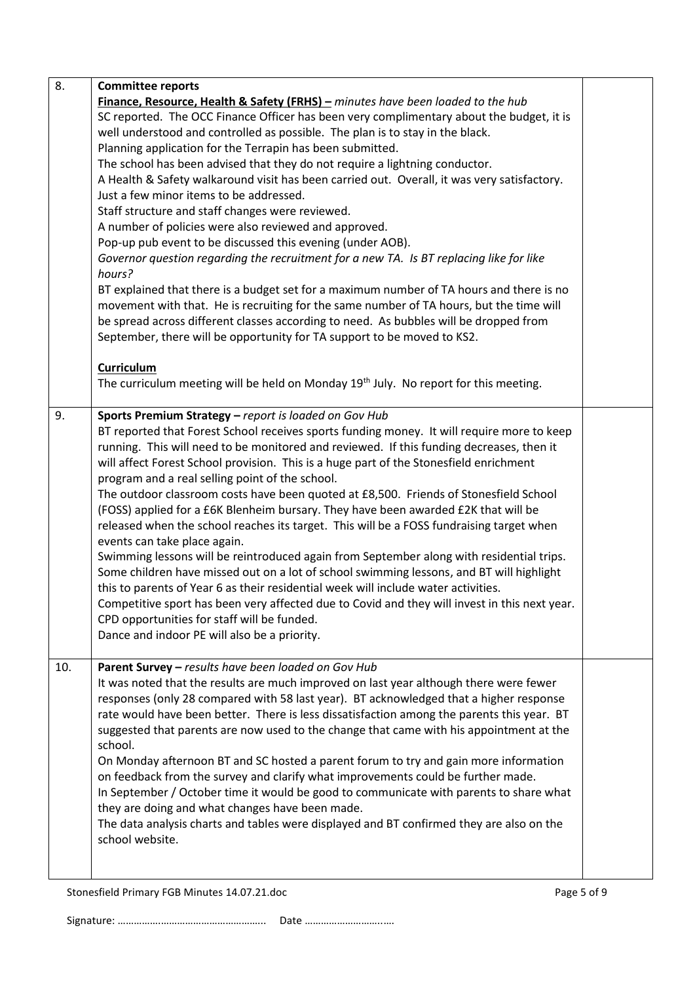| 8.  | <b>Committee reports</b>                                                                          |  |
|-----|---------------------------------------------------------------------------------------------------|--|
|     | Finance, Resource, Health & Safety (FRHS) - minutes have been loaded to the hub                   |  |
|     | SC reported. The OCC Finance Officer has been very complimentary about the budget, it is          |  |
|     | well understood and controlled as possible. The plan is to stay in the black.                     |  |
|     | Planning application for the Terrapin has been submitted.                                         |  |
|     | The school has been advised that they do not require a lightning conductor.                       |  |
|     | A Health & Safety walkaround visit has been carried out. Overall, it was very satisfactory.       |  |
|     | Just a few minor items to be addressed.                                                           |  |
|     | Staff structure and staff changes were reviewed.                                                  |  |
|     | A number of policies were also reviewed and approved.                                             |  |
|     | Pop-up pub event to be discussed this evening (under AOB).                                        |  |
|     | Governor question regarding the recruitment for a new TA. Is BT replacing like for like<br>hours? |  |
|     | BT explained that there is a budget set for a maximum number of TA hours and there is no          |  |
|     | movement with that. He is recruiting for the same number of TA hours, but the time will           |  |
|     | be spread across different classes according to need. As bubbles will be dropped from             |  |
|     | September, there will be opportunity for TA support to be moved to KS2.                           |  |
|     |                                                                                                   |  |
|     | Curriculum                                                                                        |  |
|     | The curriculum meeting will be held on Monday 19 <sup>th</sup> July. No report for this meeting.  |  |
| 9.  | Sports Premium Strategy - report is loaded on Gov Hub                                             |  |
|     | BT reported that Forest School receives sports funding money. It will require more to keep        |  |
|     | running. This will need to be monitored and reviewed. If this funding decreases, then it          |  |
|     | will affect Forest School provision. This is a huge part of the Stonesfield enrichment            |  |
|     | program and a real selling point of the school.                                                   |  |
|     | The outdoor classroom costs have been quoted at £8,500. Friends of Stonesfield School             |  |
|     | (FOSS) applied for a £6K Blenheim bursary. They have been awarded £2K that will be                |  |
|     | released when the school reaches its target. This will be a FOSS fundraising target when          |  |
|     | events can take place again.                                                                      |  |
|     | Swimming lessons will be reintroduced again from September along with residential trips.          |  |
|     | Some children have missed out on a lot of school swimming lessons, and BT will highlight          |  |
|     | this to parents of Year 6 as their residential week will include water activities.                |  |
|     | Competitive sport has been very affected due to Covid and they will invest in this next year.     |  |
|     | CPD opportunities for staff will be funded.                                                       |  |
|     | Dance and indoor PE will also be a priority.                                                      |  |
| 10. | Parent Survey - results have been loaded on Gov Hub                                               |  |
|     | It was noted that the results are much improved on last year although there were fewer            |  |
|     | responses (only 28 compared with 58 last year). BT acknowledged that a higher response            |  |
|     | rate would have been better. There is less dissatisfaction among the parents this year. BT        |  |
|     | suggested that parents are now used to the change that came with his appointment at the           |  |
|     | school.                                                                                           |  |
|     | On Monday afternoon BT and SC hosted a parent forum to try and gain more information              |  |
|     | on feedback from the survey and clarify what improvements could be further made.                  |  |
|     | In September / October time it would be good to communicate with parents to share what            |  |
|     | they are doing and what changes have been made.                                                   |  |
|     | The data analysis charts and tables were displayed and BT confirmed they are also on the          |  |
|     | school website.                                                                                   |  |
|     |                                                                                                   |  |
|     |                                                                                                   |  |

Stonesfield Primary FGB Minutes 14.07.21.doc example 3 of 9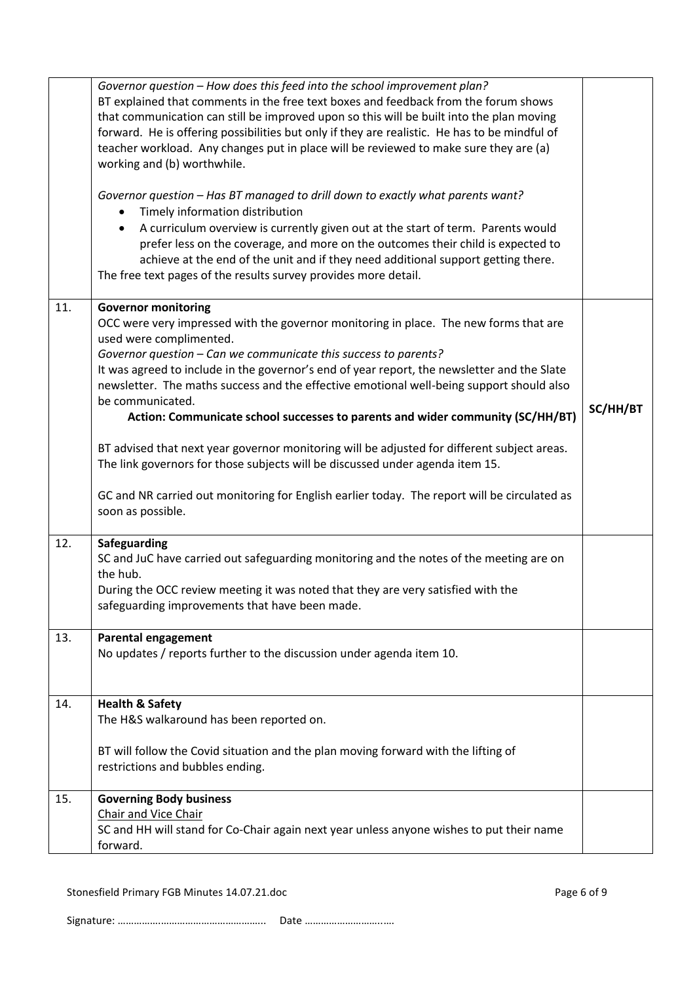|     | Governor question - How does this feed into the school improvement plan?<br>BT explained that comments in the free text boxes and feedback from the forum shows<br>that communication can still be improved upon so this will be built into the plan moving<br>forward. He is offering possibilities but only if they are realistic. He has to be mindful of<br>teacher workload. Any changes put in place will be reviewed to make sure they are (a)<br>working and (b) worthwhile.<br>Governor question - Has BT managed to drill down to exactly what parents want?<br>Timely information distribution<br>A curriculum overview is currently given out at the start of term. Parents would<br>$\bullet$<br>prefer less on the coverage, and more on the outcomes their child is expected to<br>achieve at the end of the unit and if they need additional support getting there.<br>The free text pages of the results survey provides more detail. |          |
|-----|--------------------------------------------------------------------------------------------------------------------------------------------------------------------------------------------------------------------------------------------------------------------------------------------------------------------------------------------------------------------------------------------------------------------------------------------------------------------------------------------------------------------------------------------------------------------------------------------------------------------------------------------------------------------------------------------------------------------------------------------------------------------------------------------------------------------------------------------------------------------------------------------------------------------------------------------------------|----------|
| 11. | <b>Governor monitoring</b><br>OCC were very impressed with the governor monitoring in place. The new forms that are<br>used were complimented.<br>Governor question - Can we communicate this success to parents?<br>It was agreed to include in the governor's end of year report, the newsletter and the Slate<br>newsletter. The maths success and the effective emotional well-being support should also<br>be communicated.<br>Action: Communicate school successes to parents and wider community (SC/HH/BT)<br>BT advised that next year governor monitoring will be adjusted for different subject areas.<br>The link governors for those subjects will be discussed under agenda item 15.<br>GC and NR carried out monitoring for English earlier today. The report will be circulated as<br>soon as possible.                                                                                                                                | SC/HH/BT |
| 12. | Safeguarding<br>SC and JuC have carried out safeguarding monitoring and the notes of the meeting are on<br>the hub.<br>During the OCC review meeting it was noted that they are very satisfied with the<br>safeguarding improvements that have been made.                                                                                                                                                                                                                                                                                                                                                                                                                                                                                                                                                                                                                                                                                              |          |
| 13. | <b>Parental engagement</b><br>No updates / reports further to the discussion under agenda item 10.                                                                                                                                                                                                                                                                                                                                                                                                                                                                                                                                                                                                                                                                                                                                                                                                                                                     |          |
| 14. | <b>Health &amp; Safety</b><br>The H&S walkaround has been reported on.<br>BT will follow the Covid situation and the plan moving forward with the lifting of<br>restrictions and bubbles ending.                                                                                                                                                                                                                                                                                                                                                                                                                                                                                                                                                                                                                                                                                                                                                       |          |
| 15. | <b>Governing Body business</b><br>Chair and Vice Chair<br>SC and HH will stand for Co-Chair again next year unless anyone wishes to put their name<br>forward.                                                                                                                                                                                                                                                                                                                                                                                                                                                                                                                                                                                                                                                                                                                                                                                         |          |

Stonesfield Primary FGB Minutes 14.07.21.doc Page 6 of 9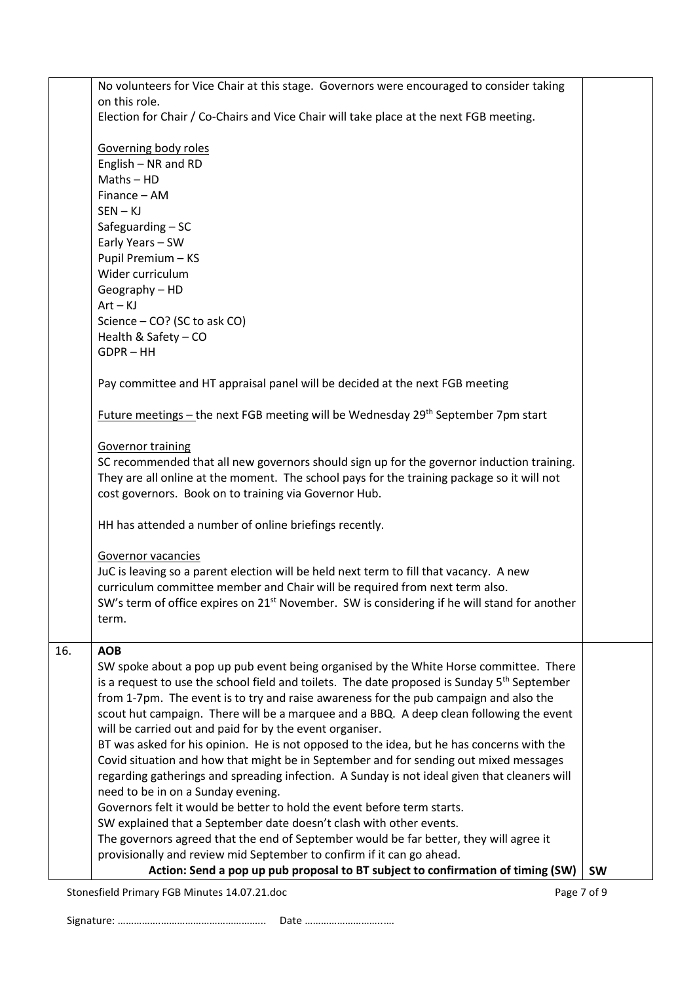| need to be in on a Sunday evening.<br>Governors felt it would be better to hold the event before term starts.<br>SW explained that a September date doesn't clash with other events.<br>The governors agreed that the end of September would be far better, they will agree it<br>provisionally and review mid September to confirm if it can go ahead.<br>Action: Send a pop up pub proposal to BT subject to confirmation of timing (SW) | <b>SW</b>                                                                                                                                                                                                                                                                                                                                                                                                                                                                                                                                                                                                                                                                                                                                                                                                                                                                                                                                                                                                                                                                                                                                                                                                                                        |
|--------------------------------------------------------------------------------------------------------------------------------------------------------------------------------------------------------------------------------------------------------------------------------------------------------------------------------------------------------------------------------------------------------------------------------------------|--------------------------------------------------------------------------------------------------------------------------------------------------------------------------------------------------------------------------------------------------------------------------------------------------------------------------------------------------------------------------------------------------------------------------------------------------------------------------------------------------------------------------------------------------------------------------------------------------------------------------------------------------------------------------------------------------------------------------------------------------------------------------------------------------------------------------------------------------------------------------------------------------------------------------------------------------------------------------------------------------------------------------------------------------------------------------------------------------------------------------------------------------------------------------------------------------------------------------------------------------|
|                                                                                                                                                                                                                                                                                                                                                                                                                                            |                                                                                                                                                                                                                                                                                                                                                                                                                                                                                                                                                                                                                                                                                                                                                                                                                                                                                                                                                                                                                                                                                                                                                                                                                                                  |
|                                                                                                                                                                                                                                                                                                                                                                                                                                            |                                                                                                                                                                                                                                                                                                                                                                                                                                                                                                                                                                                                                                                                                                                                                                                                                                                                                                                                                                                                                                                                                                                                                                                                                                                  |
|                                                                                                                                                                                                                                                                                                                                                                                                                                            |                                                                                                                                                                                                                                                                                                                                                                                                                                                                                                                                                                                                                                                                                                                                                                                                                                                                                                                                                                                                                                                                                                                                                                                                                                                  |
|                                                                                                                                                                                                                                                                                                                                                                                                                                            |                                                                                                                                                                                                                                                                                                                                                                                                                                                                                                                                                                                                                                                                                                                                                                                                                                                                                                                                                                                                                                                                                                                                                                                                                                                  |
|                                                                                                                                                                                                                                                                                                                                                                                                                                            |                                                                                                                                                                                                                                                                                                                                                                                                                                                                                                                                                                                                                                                                                                                                                                                                                                                                                                                                                                                                                                                                                                                                                                                                                                                  |
| Covid situation and how that might be in September and for sending out mixed messages                                                                                                                                                                                                                                                                                                                                                      |                                                                                                                                                                                                                                                                                                                                                                                                                                                                                                                                                                                                                                                                                                                                                                                                                                                                                                                                                                                                                                                                                                                                                                                                                                                  |
| BT was asked for his opinion. He is not opposed to the idea, but he has concerns with the                                                                                                                                                                                                                                                                                                                                                  |                                                                                                                                                                                                                                                                                                                                                                                                                                                                                                                                                                                                                                                                                                                                                                                                                                                                                                                                                                                                                                                                                                                                                                                                                                                  |
| will be carried out and paid for by the event organiser.                                                                                                                                                                                                                                                                                                                                                                                   |                                                                                                                                                                                                                                                                                                                                                                                                                                                                                                                                                                                                                                                                                                                                                                                                                                                                                                                                                                                                                                                                                                                                                                                                                                                  |
|                                                                                                                                                                                                                                                                                                                                                                                                                                            |                                                                                                                                                                                                                                                                                                                                                                                                                                                                                                                                                                                                                                                                                                                                                                                                                                                                                                                                                                                                                                                                                                                                                                                                                                                  |
|                                                                                                                                                                                                                                                                                                                                                                                                                                            |                                                                                                                                                                                                                                                                                                                                                                                                                                                                                                                                                                                                                                                                                                                                                                                                                                                                                                                                                                                                                                                                                                                                                                                                                                                  |
|                                                                                                                                                                                                                                                                                                                                                                                                                                            |                                                                                                                                                                                                                                                                                                                                                                                                                                                                                                                                                                                                                                                                                                                                                                                                                                                                                                                                                                                                                                                                                                                                                                                                                                                  |
|                                                                                                                                                                                                                                                                                                                                                                                                                                            |                                                                                                                                                                                                                                                                                                                                                                                                                                                                                                                                                                                                                                                                                                                                                                                                                                                                                                                                                                                                                                                                                                                                                                                                                                                  |
|                                                                                                                                                                                                                                                                                                                                                                                                                                            |                                                                                                                                                                                                                                                                                                                                                                                                                                                                                                                                                                                                                                                                                                                                                                                                                                                                                                                                                                                                                                                                                                                                                                                                                                                  |
| term.                                                                                                                                                                                                                                                                                                                                                                                                                                      |                                                                                                                                                                                                                                                                                                                                                                                                                                                                                                                                                                                                                                                                                                                                                                                                                                                                                                                                                                                                                                                                                                                                                                                                                                                  |
| SW's term of office expires on 21 <sup>st</sup> November. SW is considering if he will stand for another                                                                                                                                                                                                                                                                                                                                   |                                                                                                                                                                                                                                                                                                                                                                                                                                                                                                                                                                                                                                                                                                                                                                                                                                                                                                                                                                                                                                                                                                                                                                                                                                                  |
|                                                                                                                                                                                                                                                                                                                                                                                                                                            |                                                                                                                                                                                                                                                                                                                                                                                                                                                                                                                                                                                                                                                                                                                                                                                                                                                                                                                                                                                                                                                                                                                                                                                                                                                  |
|                                                                                                                                                                                                                                                                                                                                                                                                                                            |                                                                                                                                                                                                                                                                                                                                                                                                                                                                                                                                                                                                                                                                                                                                                                                                                                                                                                                                                                                                                                                                                                                                                                                                                                                  |
|                                                                                                                                                                                                                                                                                                                                                                                                                                            |                                                                                                                                                                                                                                                                                                                                                                                                                                                                                                                                                                                                                                                                                                                                                                                                                                                                                                                                                                                                                                                                                                                                                                                                                                                  |
| HH has attended a number of online briefings recently.                                                                                                                                                                                                                                                                                                                                                                                     |                                                                                                                                                                                                                                                                                                                                                                                                                                                                                                                                                                                                                                                                                                                                                                                                                                                                                                                                                                                                                                                                                                                                                                                                                                                  |
|                                                                                                                                                                                                                                                                                                                                                                                                                                            |                                                                                                                                                                                                                                                                                                                                                                                                                                                                                                                                                                                                                                                                                                                                                                                                                                                                                                                                                                                                                                                                                                                                                                                                                                                  |
| cost governors. Book on to training via Governor Hub.                                                                                                                                                                                                                                                                                                                                                                                      |                                                                                                                                                                                                                                                                                                                                                                                                                                                                                                                                                                                                                                                                                                                                                                                                                                                                                                                                                                                                                                                                                                                                                                                                                                                  |
|                                                                                                                                                                                                                                                                                                                                                                                                                                            |                                                                                                                                                                                                                                                                                                                                                                                                                                                                                                                                                                                                                                                                                                                                                                                                                                                                                                                                                                                                                                                                                                                                                                                                                                                  |
|                                                                                                                                                                                                                                                                                                                                                                                                                                            |                                                                                                                                                                                                                                                                                                                                                                                                                                                                                                                                                                                                                                                                                                                                                                                                                                                                                                                                                                                                                                                                                                                                                                                                                                                  |
|                                                                                                                                                                                                                                                                                                                                                                                                                                            |                                                                                                                                                                                                                                                                                                                                                                                                                                                                                                                                                                                                                                                                                                                                                                                                                                                                                                                                                                                                                                                                                                                                                                                                                                                  |
| Future meetings - the next FGB meeting will be Wednesday 29 <sup>th</sup> September 7pm start                                                                                                                                                                                                                                                                                                                                              |                                                                                                                                                                                                                                                                                                                                                                                                                                                                                                                                                                                                                                                                                                                                                                                                                                                                                                                                                                                                                                                                                                                                                                                                                                                  |
|                                                                                                                                                                                                                                                                                                                                                                                                                                            |                                                                                                                                                                                                                                                                                                                                                                                                                                                                                                                                                                                                                                                                                                                                                                                                                                                                                                                                                                                                                                                                                                                                                                                                                                                  |
|                                                                                                                                                                                                                                                                                                                                                                                                                                            |                                                                                                                                                                                                                                                                                                                                                                                                                                                                                                                                                                                                                                                                                                                                                                                                                                                                                                                                                                                                                                                                                                                                                                                                                                                  |
| <b>GDPR-HH</b>                                                                                                                                                                                                                                                                                                                                                                                                                             |                                                                                                                                                                                                                                                                                                                                                                                                                                                                                                                                                                                                                                                                                                                                                                                                                                                                                                                                                                                                                                                                                                                                                                                                                                                  |
| Health & Safety - CO                                                                                                                                                                                                                                                                                                                                                                                                                       |                                                                                                                                                                                                                                                                                                                                                                                                                                                                                                                                                                                                                                                                                                                                                                                                                                                                                                                                                                                                                                                                                                                                                                                                                                                  |
| Science - CO? (SC to ask CO)                                                                                                                                                                                                                                                                                                                                                                                                               |                                                                                                                                                                                                                                                                                                                                                                                                                                                                                                                                                                                                                                                                                                                                                                                                                                                                                                                                                                                                                                                                                                                                                                                                                                                  |
| $Art - KJ$                                                                                                                                                                                                                                                                                                                                                                                                                                 |                                                                                                                                                                                                                                                                                                                                                                                                                                                                                                                                                                                                                                                                                                                                                                                                                                                                                                                                                                                                                                                                                                                                                                                                                                                  |
|                                                                                                                                                                                                                                                                                                                                                                                                                                            |                                                                                                                                                                                                                                                                                                                                                                                                                                                                                                                                                                                                                                                                                                                                                                                                                                                                                                                                                                                                                                                                                                                                                                                                                                                  |
|                                                                                                                                                                                                                                                                                                                                                                                                                                            |                                                                                                                                                                                                                                                                                                                                                                                                                                                                                                                                                                                                                                                                                                                                                                                                                                                                                                                                                                                                                                                                                                                                                                                                                                                  |
|                                                                                                                                                                                                                                                                                                                                                                                                                                            |                                                                                                                                                                                                                                                                                                                                                                                                                                                                                                                                                                                                                                                                                                                                                                                                                                                                                                                                                                                                                                                                                                                                                                                                                                                  |
|                                                                                                                                                                                                                                                                                                                                                                                                                                            |                                                                                                                                                                                                                                                                                                                                                                                                                                                                                                                                                                                                                                                                                                                                                                                                                                                                                                                                                                                                                                                                                                                                                                                                                                                  |
| $SEN - KJ$                                                                                                                                                                                                                                                                                                                                                                                                                                 |                                                                                                                                                                                                                                                                                                                                                                                                                                                                                                                                                                                                                                                                                                                                                                                                                                                                                                                                                                                                                                                                                                                                                                                                                                                  |
| Finance - AM                                                                                                                                                                                                                                                                                                                                                                                                                               |                                                                                                                                                                                                                                                                                                                                                                                                                                                                                                                                                                                                                                                                                                                                                                                                                                                                                                                                                                                                                                                                                                                                                                                                                                                  |
| $Maths - HD$                                                                                                                                                                                                                                                                                                                                                                                                                               |                                                                                                                                                                                                                                                                                                                                                                                                                                                                                                                                                                                                                                                                                                                                                                                                                                                                                                                                                                                                                                                                                                                                                                                                                                                  |
| English - NR and RD                                                                                                                                                                                                                                                                                                                                                                                                                        |                                                                                                                                                                                                                                                                                                                                                                                                                                                                                                                                                                                                                                                                                                                                                                                                                                                                                                                                                                                                                                                                                                                                                                                                                                                  |
|                                                                                                                                                                                                                                                                                                                                                                                                                                            |                                                                                                                                                                                                                                                                                                                                                                                                                                                                                                                                                                                                                                                                                                                                                                                                                                                                                                                                                                                                                                                                                                                                                                                                                                                  |
|                                                                                                                                                                                                                                                                                                                                                                                                                                            |                                                                                                                                                                                                                                                                                                                                                                                                                                                                                                                                                                                                                                                                                                                                                                                                                                                                                                                                                                                                                                                                                                                                                                                                                                                  |
|                                                                                                                                                                                                                                                                                                                                                                                                                                            |                                                                                                                                                                                                                                                                                                                                                                                                                                                                                                                                                                                                                                                                                                                                                                                                                                                                                                                                                                                                                                                                                                                                                                                                                                                  |
| No volunteers for Vice Chair at this stage. Governors were encouraged to consider taking                                                                                                                                                                                                                                                                                                                                                   |                                                                                                                                                                                                                                                                                                                                                                                                                                                                                                                                                                                                                                                                                                                                                                                                                                                                                                                                                                                                                                                                                                                                                                                                                                                  |
|                                                                                                                                                                                                                                                                                                                                                                                                                                            | on this role.<br>Election for Chair / Co-Chairs and Vice Chair will take place at the next FGB meeting.<br>Governing body roles<br>Safeguarding - SC<br>Early Years - SW<br>Pupil Premium - KS<br>Wider curriculum<br>Geography - HD<br>Pay committee and HT appraisal panel will be decided at the next FGB meeting<br><b>Governor training</b><br>SC recommended that all new governors should sign up for the governor induction training.<br>They are all online at the moment. The school pays for the training package so it will not<br>Governor vacancies<br>JuC is leaving so a parent election will be held next term to fill that vacancy. A new<br>curriculum committee member and Chair will be required from next term also.<br><b>AOB</b><br>SW spoke about a pop up pub event being organised by the White Horse committee. There<br>is a request to use the school field and toilets. The date proposed is Sunday 5 <sup>th</sup> September<br>from 1-7pm. The event is to try and raise awareness for the pub campaign and also the<br>scout hut campaign. There will be a marquee and a BBQ. A deep clean following the event<br>regarding gatherings and spreading infection. A Sunday is not ideal given that cleaners will |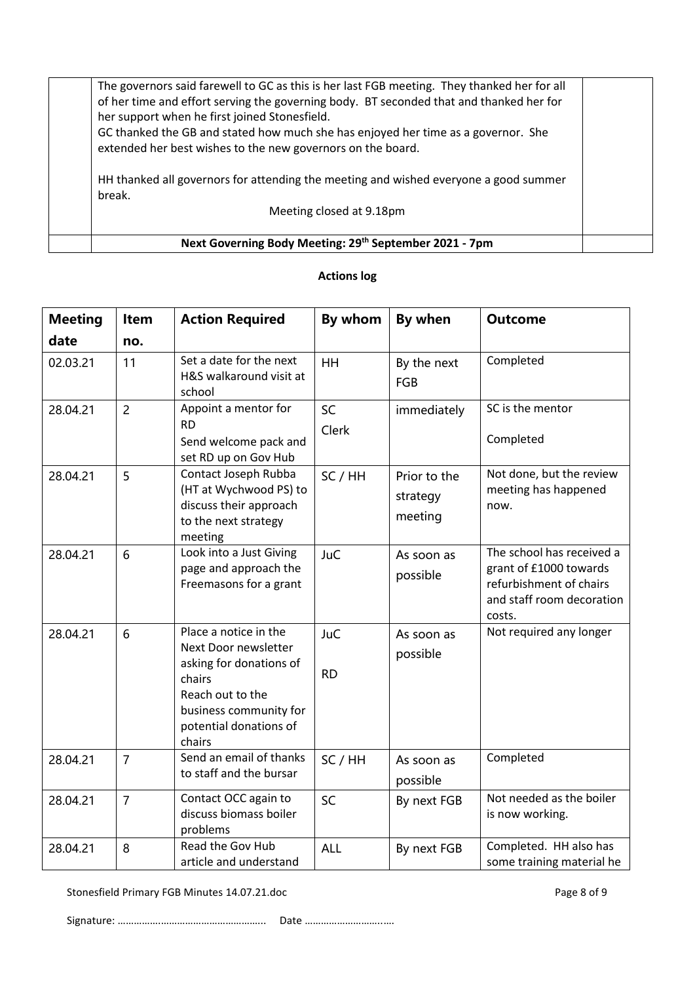| Next Governing Body Meeting: 29th September 2021 - 7pm                                                                                                                                                                                                                                                                                                                                      |  |
|---------------------------------------------------------------------------------------------------------------------------------------------------------------------------------------------------------------------------------------------------------------------------------------------------------------------------------------------------------------------------------------------|--|
| Meeting closed at 9.18pm                                                                                                                                                                                                                                                                                                                                                                    |  |
| HH thanked all governors for attending the meeting and wished everyone a good summer<br>break.                                                                                                                                                                                                                                                                                              |  |
| The governors said farewell to GC as this is her last FGB meeting. They thanked her for all<br>of her time and effort serving the governing body. BT seconded that and thanked her for<br>her support when he first joined Stonesfield.<br>GC thanked the GB and stated how much she has enjoyed her time as a governor. She<br>extended her best wishes to the new governors on the board. |  |

| <b>Meeting</b> | <b>Item</b>    | <b>Action Required</b>                                                                                                                                               | By whom                 | By when                             | <b>Outcome</b>                                                                                                        |
|----------------|----------------|----------------------------------------------------------------------------------------------------------------------------------------------------------------------|-------------------------|-------------------------------------|-----------------------------------------------------------------------------------------------------------------------|
| date           | no.            |                                                                                                                                                                      |                         |                                     |                                                                                                                       |
| 02.03.21       | 11             | Set a date for the next<br>H&S walkaround visit at<br>school                                                                                                         | <b>HH</b>               | By the next<br><b>FGB</b>           | Completed                                                                                                             |
| 28.04.21       | $\overline{2}$ | Appoint a mentor for<br><b>RD</b><br>Send welcome pack and<br>set RD up on Gov Hub                                                                                   | SC<br>Clerk             | immediately                         | SC is the mentor<br>Completed                                                                                         |
| 28.04.21       | 5              | Contact Joseph Rubba<br>(HT at Wychwood PS) to<br>discuss their approach<br>to the next strategy<br>meeting                                                          | SC / HH                 | Prior to the<br>strategy<br>meeting | Not done, but the review<br>meeting has happened<br>now.                                                              |
| 28.04.21       | 6              | Look into a Just Giving<br>page and approach the<br>Freemasons for a grant                                                                                           | <b>JuC</b>              | As soon as<br>possible              | The school has received a<br>grant of £1000 towards<br>refurbishment of chairs<br>and staff room decoration<br>costs. |
| 28.04.21       | 6              | Place a notice in the<br>Next Door newsletter<br>asking for donations of<br>chairs<br>Reach out to the<br>business community for<br>potential donations of<br>chairs | <b>JuC</b><br><b>RD</b> | As soon as<br>possible              | Not required any longer                                                                                               |
| 28.04.21       | $\overline{7}$ | Send an email of thanks<br>to staff and the bursar                                                                                                                   | SC / HH                 | As soon as<br>possible              | Completed                                                                                                             |
| 28.04.21       | $\overline{7}$ | Contact OCC again to<br>discuss biomass boiler<br>problems                                                                                                           | SC                      | By next FGB                         | Not needed as the boiler<br>is now working.                                                                           |
| 28.04.21       | 8              | Read the Gov Hub<br>article and understand                                                                                                                           | <b>ALL</b>              | By next FGB                         | Completed. HH also has<br>some training material he                                                                   |

# **Actions log**

Stonesfield Primary FGB Minutes 14.07.21.doc example 2 and 2 and 2 and 2 and 2 and 2 and 2 and 2 and 2 and 2 and 2 and 2 and 2 and 2 and 2 and 2 and 2 and 2 and 2 and 2 and 2 and 2 and 2 and 2 and 2 and 2 and 2 and 2 and 2